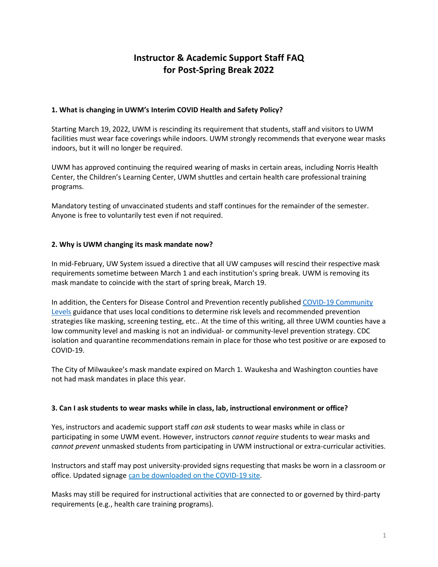# **Instructor & Academic Support Staff FAQ for Post-Spring Break 2022**

## **1. What is changing in UWM's Interim COVID Health and Safety Policy?**

Starting March 19, 2022, UWM is rescinding its requirement that students, staff and visitors to UWM facilities must wear face coverings while indoors. UWM strongly recommends that everyone wear masks indoors, but it will no longer be required.

UWM has approved continuing the required wearing of masks in certain areas, including Norris Health Center, the Children's Learning Center, UWM shuttles and certain health care professional training programs.

Mandatory testing of unvaccinated students and staff continues for the remainder of the semester. Anyone is free to voluntarily test even if not required.

## **2. Why is UWM changing its mask mandate now?**

In mid-February, UW System issued a directive that all UW campuses will rescind their respective mask requirements sometime between March 1 and each institution's spring break. UWM is removing its mask mandate to coincide with the start of spring break, March 19.

In addition, the Centers for Disease Control and Prevention recently published [COVID-19 Community](https://www.cdc.gov/coronavirus/2019-ncov/science/community-levels.html)  [Levels](https://www.cdc.gov/coronavirus/2019-ncov/science/community-levels.html) guidance that uses local conditions to determine risk levels and recommended prevention strategies like masking, screening testing, etc.. At the time of this writing, all three UWM counties have a low community level and masking is not an individual- or community-level prevention strategy. CDC isolation and quarantine recommendations remain in place for those who test positive or are exposed to COVID-19.

The City of Milwaukee's mask mandate expired on March 1. Waukesha and Washington counties have not had mask mandates in place this year.

#### **3. Can I ask students to wear masks while in class, lab, instructional environment or office?**

Yes, instructors and academic support staff *can ask* students to wear masks while in class or participating in some UWM event. However, instructors *cannot require* students to wear masks and *cannot prevent* unmasked students from participating in UWM instructional or extra-curricular activities.

Instructors and staff may post university-provided signs requesting that masks be worn in a classroom or office. Updated signage [can be downloaded on the COVID-19 site.](https://uwm.edu/coronavirus/faculty-staff/signage/)

Masks may still be required for instructional activities that are connected to or governed by third-party requirements (e.g., health care training programs).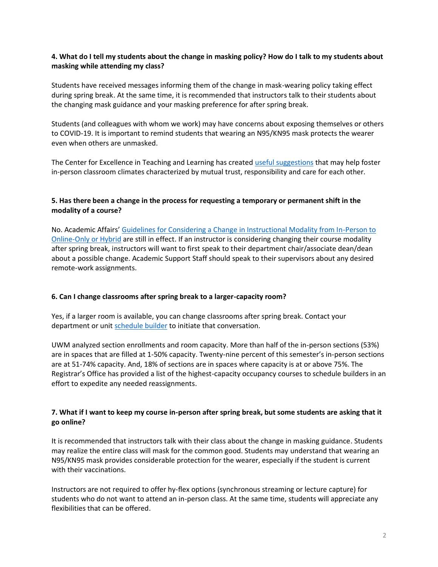## **4. What do I tell my students about the change in masking policy? How do I talk to my students about masking while attending my class?**

Students have received messages informing them of the change in mask-wearing policy taking effect during spring break. At the same time, it is recommended that instructors talk to their students about the changing mask guidance and your masking preference for after spring break.

Students (and colleagues with whom we work) may have concerns about exposing themselves or others to COVID-19. It is important to remind students that wearing an N95/KN95 mask protects the wearer even when others are unmasked.

The Center for Excellence in Teaching and Learning has created [useful suggestions](https://uwm.edu/academicaffairs/wp-content/uploads/sites/32/2022/03/Instructor_discussion_guidelines_masking.pdf) that may help foster in-person classroom climates characterized by mutual trust, responsibility and care for each other.

## **5. Has there been a change in the process for requesting a temporary or permanent shift in the modality of a course?**

No. Academic Affairs' [Guidelines for Considering a Change in Instructional Modality from In-Person to](https://uwm.edu/academicaffairs/wp-content/uploads/sites/32/2021/12/UWM-Spring-2022-Change-in-modality-Guidelines_vFINAL.pdf)  [Online-Only or Hybrid](https://uwm.edu/academicaffairs/wp-content/uploads/sites/32/2021/12/UWM-Spring-2022-Change-in-modality-Guidelines_vFINAL.pdf) are still in effect. If an instructor is considering changing their course modality after spring break, instructors will want to first speak to their department chair/associate dean/dean about a possible change. Academic Support Staff should speak to their supervisors about any desired remote-work assignments.

#### **6. Can I change classrooms after spring break to a larger-capacity room?**

Yes, if a larger room is available, you can change classrooms after spring break. Contact your department or unit [schedule](https://uwm.edu/registrar/academic-unit-services/schedule-of-classes-resources/soc-schoolcollege-contacts/) builder to initiate that conversation.

UWM analyzed section enrollments and room capacity. More than half of the in-person sections (53%) are in spaces that are filled at 1-50% capacity. Twenty-nine percent of this semester's in-person sections are at 51-74% capacity. And, 18% of sections are in spaces where capacity is at or above 75%. The Registrar's Office has provided a list of the highest-capacity occupancy courses to schedule builders in an effort to expedite any needed reassignments.

## **7. What if I want to keep my course in-person after spring break, but some students are asking that it go online?**

It is recommended that instructors talk with their class about the change in masking guidance. Students may realize the entire class will mask for the common good. Students may understand that wearing an N95/KN95 mask provides considerable protection for the wearer, especially if the student is current with their vaccinations.

Instructors are not required to offer hy-flex options (synchronous streaming or lecture capture) for students who do not want to attend an in-person class. At the same time, students will appreciate any flexibilities that can be offered.